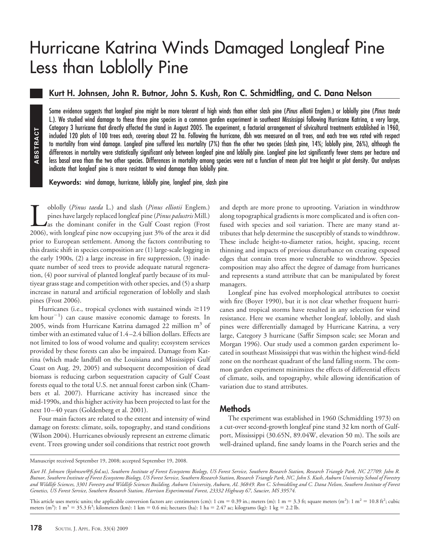# Hurricane Katrina Winds Damaged Longleaf Pine Less than Loblolly Pine

## **Kurt H. Johnsen, John R. Butnor, John S. Kush, Ron C. Schmidtling, and C. Dana Nelson**

Some evidence suggests that longleaf pine might be more tolerant of high winds than either slash pine (*Pinus elliotii* Englem.) or loblolly pine (*Pinus taeda* L.). We studied wind damage to these three pine species in a common garden experiment in southeast Mississippi following Hurricane Katrina, a very large, Category 3 hurricane that directly affected the stand in August 2005. The experiment, a factorial arrangement of silvicultural treatments established in 1960, included 120 plots of 100 trees each, covering about 22 ha. Following the hurricane, dbh was measured on all trees, and each tree was rated with respect to mortality from wind damage. Longleaf pine suffered less mortality (7%) than the other two species (slash pine, 14%; loblolly pine, 26%), although the differences in mortality were statistically significant only between longleaf pine and loblolly pine. Longleaf pine lost significantly fewer stems per hectare and less basal area than the two other species. Differences in mortality among species were not a function of mean plot tree height or plot density. Our analyses indicate that longleaf pine is more resistant to wind damage than loblolly pine.

**Keywords:** wind damage, hurricane, loblolly pine, longleaf pine, slash pine

Loblolly (*Pinus taeda* L.) and slash (*Pinus elliotii* Englem.) pines have largely replaced longleaf pine (*Pinus palustris* Mill.) As the dominant conifer in the Gulf Coast region (Frost 2006), with longleaf pine now occupying just 3% of the area it did prior to European settlement. Among the factors contributing to this drastic shift in species composition are (1) large-scale logging in the early 1900s, (2) a large increase in fire suppression, (3) inadequate number of seed trees to provide adequate natural regeneration, (4) poor survival of planted longleaf partly because of its multiyear grass stage and competition with other species, and (5) a sharp increase in natural and artificial regeneration of loblolly and slash pines (Frost 2006).

Hurricanes (i.e., tropical cyclones with sustained winds  $\geq$ 119  $km$  hour $^{-1}$ ) can cause massive economic damage to forests. In 2005, winds from Hurricane Katrina damaged 22 million  $m<sup>3</sup>$  of timber with an estimated value of 1.4 –2.4 billion dollars. Effects are not limited to loss of wood volume and quality; ecosystem services provided by these forests can also be impaired. Damage from Katrina (which made landfall on the Louisiana and Mississippi Gulf Coast on Aug. 29, 2005) and subsequent decomposition of dead biomass is reducing carbon sequestration capacity of Gulf Coast forests equal to the total U.S. net annual forest carbon sink (Chambers et al. 2007). Hurricane activity has increased since the mid-1990s, and this higher activity has been projected to last for the next 10-40 years (Goldenberg et al. 2001). **178** Solution Internation Theorem Internation Theorem and Theorem and The Most should and the mortality from wind damage. It differences in mortality were statisties less based are than the two other indicate that longled

Four main factors are related to the extent and intensity of wind damage on forests: climate, soils, topography, and stand conditions (Wilson 2004). Hurricanes obviously represent an extreme climatic event. Trees growing under soil conditions that restrict root growth and depth are more prone to uprooting. Variation in windthrow along topographical gradients is more complicated and is often confused with species and soil variation. There are many stand attributes that help determine the susceptibly of stands to windthrow. These include height-to-diameter ratios, height, spacing, recent thinning and impacts of previous disturbance on creating exposed edges that contain trees more vulnerable to windthrow. Species composition may also affect the degree of damage from hurricanes and represents a stand attribute that can be manipulated by forest managers.

Longleaf pine has evolved morphological attributes to coexist with fire (Boyer 1990), but it is not clear whether frequent hurricanes and tropical storms have resulted in any selection for wind resistance. Here we examine whether longleaf, loblolly, and slash pines were differentially damaged by Hurricane Katrina, a very large, Category 3 hurricane (Saffir Simpson scale; see Moran and Morgan 1996). Our study used a common garden experiment located in southeast Mississippi that was within the highest wind-field zone on the northeast quadrant of the land falling storm. The common garden experiment minimizes the effects of differential effects of climate, soils, and topography, while allowing identification of variation due to stand attributes.

### **Methods**

The experiment was established in 1960 (Schmidtling 1973) on a cut-over second-growth longleaf pine stand 32 km north of Gulfport, Mississippi (30.65N, 89.04W, elevation 50 m). The soils are well-drained upland, fine sandy loams in the Poarch series and the

This article uses metric units; the applicable conversion factors are: centimeters (cm): 1 cm = 0.39 in.; meters (m): 1 m = 3.3 ft; square meters (m<sup>2</sup>): 1 m<sup>2</sup> = 10.8 ft<sup>2</sup>; cubic meters (m<sup>3</sup>): 1 m<sup>3</sup> = 35.3 ft<sup>3</sup>; kilometers (km): 1 km = 0.6 mi; hectares (ha): 1 ha = 2.47 ac; kilograms (kg): 1 kg = 2.2 lb.

Manuscript received September 19, 2008; accepted September 19, 2008.

*Kurt H. Johnsen (kjohnsen@fs.fed.us), Southern Institute of Forest Ecosystems Biology, US Forest Service, Southern Research Station, Research Triangle Park, NC 27709. John R. Butnor, Southern Institute of Forest Ecosystems Biology, US Forest Service, Southern Research Station, Research Triangle Park, NC. John S. Kush, Auburn University School of Forestry and Wildlife Sciences, 3301 Forestry and Wildlife Sciences Building, Auburn University, Auburn, AL 36849. Ron C. Schmidtling and C. Dana Nelson, Southern Institute of Forest Genetics, US Forest Service, Southern Research Station, Harrison Experimental Forest, 23332 Highway 67, Saucier, MS 39574.*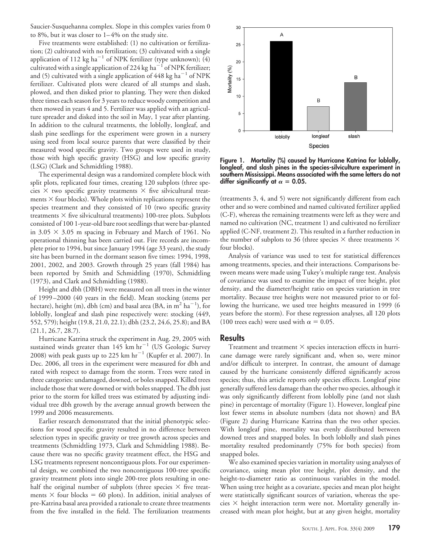Saucier-Susquehanna complex. Slope in this complex varies from 0 to 8%, but it was closer to  $1-4%$  on the study site.

Five treatments were established: (1) no cultivation or fertilization; (2) cultivated with no fertilization; (3) cultivated with a single application of 112 kg ha<sup>-1</sup> of NPK fertilizer (type unknown); (4) cultivated with a single application of 224 kg ha<sup>-1</sup> of NPK fertilizer; and (5) cultivated with a single application of  $448 \text{ kg ha}^{-1}$  of NPK fertilizer. Cultivated plots were cleared of all stumps and slash, plowed, and then disked prior to planting. They were then disked three times each season for 3 years to reduce woody competition and then mowed in years 4 and 5. Fertilizer was applied with an agriculture spreader and disked into the soil in May, 1 year after planting. In addition to the cultural treatments, the loblolly, longleaf, and slash pine seedlings for the experiment were grown in a nursery using seed from local source parents that were classified by their measured wood specific gravity. Two groups were used in study, those with high specific gravity (HSG) and low specific gravity (LSG) (Clark and Schmidtling 1988).

The experimental design was a randomized complete block with split plots, replicated four times, creating 120 subplots (three species  $\times$  two specific gravity treatments  $\times$  five silvicultural treatments  $\times$  four blocks). Whole plots within replications represent the species treatment and they consisted of 10 (two specific gravity treatments  $\times$  five silvicultural treatments) 100-tree plots. Subplots consisted of 100 1-year-old bare root seedlings that were bar-planted in  $3.05 \times 3.05$  m spacing in February and March of 1961. No operational thinning has been carried out. Fire records are incomplete prior to 1994, but since January 1994 (age 33 years), the study site has been burned in the dormant season five times: 1994, 1998, 2001, 2002, and 2003. Growth through 25 years (fall 1984) has been reported by Smith and Schmidtling (1970), Schmidtling (1973), and Clark and Schmidtling (1988).

Height and dbh (DBH) were measured on all trees in the winter of 1999 –2000 (40 years in the field). Mean stocking (stems per hectare), height (m), dbh (cm) and basal area (BA, in  $\mathrm{m}^2$  ha $^{-1}$ ), for loblolly, longleaf and slash pine respectively were: stocking (449, 552, 579); height (19.8, 21.0, 22.1); dbh (23.2, 24.6, 25.8); and BA (21.1, 26.7, 28.7).

Hurricane Katrina struck the experiment in Aug. 29, 2005 with sustained winds greater than  $145$  km hr<sup>-1</sup> (US Geologic Survey 2008) with peak gusts up to 225 km  $hr^{-1}$  (Kupfer et al. 2007). In Dec. 2006, all trees in the experiment were measured for dbh and rated with respect to damage from the storm. Trees were rated in three categories: undamaged, downed, or boles snapped. Killed trees include those that were downed or with boles snapped. The dbh just prior to the storm for killed trees was estimated by adjusting individual tree dbh growth by the average annual growth between the 1999 and 2006 measurements.

Earlier research demonstrated that the initial phenotypic selections for wood specific gravity resulted in no difference between selection types in specific gravity or tree growth across species and treatments (Schmidtling 1973, Clark and Schmidtling 1988). Because there was no specific gravity treatment effect, the HSG and LSG treatments represent noncontiguous plots. For our experimental design, we combined the two noncontiguous 100-tree specific gravity treatment plots into single 200-tree plots resulting in onehalf the original number of subplots (three species  $\times$  five treatments  $\times$  four blocks = 60 plots). In addition, initial analyses of pre-Katrina basal area provided a rationale to create three treatments from the five installed in the field. The fertilization treatments



**Figure 1. Mortality (%) caused by Hurricane Katrina for loblolly, longleaf, and slash pines in the species-silviculture experiment in southern Mississippi. Means associated with the same letters do not** differ significantly at  $\alpha = 0.05$ .

(treatments 3, 4, and 5) were not significantly different from each other and so were combined and named cultivated fertilizer applied (C-F), whereas the remaining treatments were left as they were and named no cultivation (NC, treatment 1) and cultivated no fertilizer applied (C-NF, treatment 2). This resulted in a further reduction in the number of subplots to 36 (three species  $\times$  three treatments  $\times$ four blocks).

Analysis of variance was used to test for statistical differences among treatments, species, and their interactions. Comparisons between means were made using Tukey's multiple range test. Analysis of covariance was used to examine the impact of tree height, plot density, and the diameter/height ratio on species variation in tree mortality. Because tree heights were not measured prior to or following the hurricane, we used tree heights measured in 1999 (6 years before the storm). For these regression analyses, all 120 plots (100 trees each) were used with  $\alpha = 0.05$ .

#### **Results**

Treatment and treatment  $\times$  species interaction effects in hurricane damage were rarely significant and, when so, were minor and/or difficult to interpret. In contrast, the amount of damage caused by the hurricane consistently differed significantly across species; thus, this article reports only species effects. Longleaf pine generally suffered less damage than the other two species, although it was only significantly different from loblolly pine (and not slash pine) in percentage of mortality (Figure 1). However, longleaf pine lost fewer stems in absolute numbers (data not shown) and BA (Figure 2) during Hurricane Katrina than the two other species. With longleaf pine, mortality was evenly distributed between downed trees and snapped boles. In both loblolly and slash pines mortality resulted predominantly (75% for both species) from snapped boles.

We also examined species variation in mortality using analyses of covariance, using mean plot tree height, plot density, and the height-to-diameter ratio as continuous variables in the model. When using tree height as a covariate, species and mean plot height were statistically significant sources of variation, whereas the species  $\times$  height interaction term were not. Mortality generally increased with mean plot height, but at any given height, mortality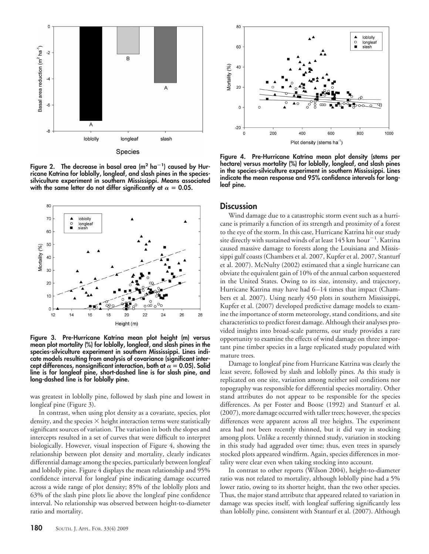

**Figure 2. The decrease in basal area (m2 ha<sup>1</sup> ) caused by Hurricane Katrina for loblolly, longleaf, and slash pines in the speciessilviculture experiment in southern Mississippi. Means associated** with the same letter do not differ significantly at  $\alpha$  = 0.05.



**Figure 3. Pre-Hurricane Katrina mean plot height (m) versus mean plot mortality (%) for loblolly, longleaf, and slash pines in the species-silviculture experiment in southern Mississippi. Lines indicate models resulting from analysis of covariance (significant inter**cept differences, nonsignificant interaction, both at  $\alpha$  = 0.05). Solid **line is for longleaf pine, short-dashed line is for slash pine, and long-dashed line is for loblolly pine.**

was greatest in loblolly pine, followed by slash pine and lowest in longleaf pine (Figure 3).

In contrast, when using plot density as a covariate, species, plot density, and the species  $\times$  height interaction terms were statistically significant sources of variation. The variation in both the slopes and intercepts resulted in a set of curves that were difficult to interpret biologically. However, visual inspection of Figure 4, showing the relationship between plot density and mortality, clearly indicates differential damage among the species, particularly between longleaf and loblolly pine. Figure 4 displays the mean relationship and 95% confidence interval for longleaf pine indicating damage occurred across a wide range of plot density; 85% of the loblolly plots and 63% of the slash pine plots lie above the longleaf pine confidence interval. No relationship was observed between height-to-diameter ratio and mortality.



**Figure 4. Pre-Hurricane Katrina mean plot density (stems per hectare) versus mortality (%) for loblolly, longleaf, and slash pines in the species-silviculture experiment in southern Mississippi. Lines indicate the mean response and 95% confidence intervals for longleaf pine.**

#### **Discussion**

Wind damage due to a catastrophic storm event such as a hurricane is primarily a function of its strength and proximity of a forest to the eye of the storm. In this case, Hurricane Katrina hit our study site directly with sustained winds of at least 145 km  $\mathrm{hour}^{-1}$ . Katrina caused massive damage to forests along the Louisiana and Mississippi gulf coasts (Chambers et al. 2007, Kupfer et al. 2007, Stanturf et al. 2007). McNulty (2002) estimated that a single hurricane can obviate the equivalent gain of 10% of the annual carbon sequestered in the United States. Owing to its size, intensity, and trajectory, Hurricane Katrina may have had 6 –14 times that impact (Chambers et al. 2007). Using nearly 450 plots in southern Mississippi, Kupfer et al. (2007) developed predictive damage models to examine the importance of storm meteorology, stand conditions, and site characteristics to predict forest damage. Although their analyses provided insights into broad-scale patterns, our study provides a rare opportunity to examine the effects of wind damage on three important pine timber species in a large replicated study populated with mature trees.

Damage to longleaf pine from Hurricane Katrina was clearly the least severe, followed by slash and loblolly pines. As this study is replicated on one site, variation among neither soil conditions nor topography was responsible for differential species mortality. Other stand attributes do not appear to be responsible for the species differences. As per Foster and Boose (1992) and Stanturf et al. (2007), more damage occurred with taller trees; however, the species differences were apparent across all tree heights. The experiment area had not been recently thinned, but it did vary in stocking among plots. Unlike a recently thinned study, variation in stocking in this study had aggraded over time; thus, even trees in sparsely stocked plots appeared windfirm. Again, species differences in mortality were clear even when taking stocking into account.

In contrast to other reports (Wilson 2004), height-to-diameter ratio was not related to mortality, although loblolly pine had a 5% lower ratio, owing to its shorter height, than the two other species. Thus, the major stand attribute that appeared related to variation in damage was species itself, with longleaf suffering significantly less than loblolly pine, consistent with Stanturf et al. (2007). Although